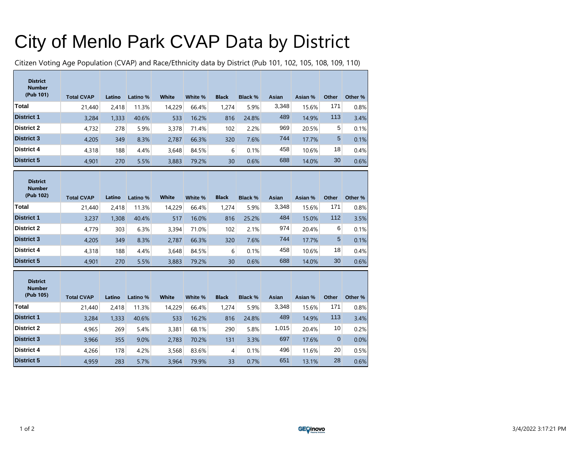## City of Menlo Park CVAP Data by District

Citizen Voting Age Population (CVAP) and Race/Ethnicity data by District (Pub 101, 102, 105, 108, 109, 110)

| <b>District</b><br><b>Number</b><br>(Pub 101) | <b>Total CVAP</b> | Latino | Latino % | <b>White</b> | White % | <b>Black</b> | <b>Black %</b> | <b>Asian</b> | Asian % | Other       | Other % |
|-----------------------------------------------|-------------------|--------|----------|--------------|---------|--------------|----------------|--------------|---------|-------------|---------|
| <b>Total</b>                                  | 21,440            | 2,418  | 11.3%    | 14,229       | 66.4%   | 1,274        | 5.9%           | 3,348        | 15.6%   | 171         | 0.8%    |
| <b>District 1</b>                             | 3,284             | 1,333  | 40.6%    | 533          | 16.2%   | 816          | 24.8%          | 489          | 14.9%   | 113         | 3.4%    |
| <b>District 2</b>                             | 4.732             | 278    | 5.9%     | 3,378        | 71.4%   | 102          | 2.2%           | 969          | 20.5%   | 5           | 0.1%    |
| <b>District 3</b>                             | 4,205             | 349    | 8.3%     | 2,787        | 66.3%   | 320          | 7.6%           | 744          | 17.7%   | 5           | 0.1%    |
| <b>District 4</b>                             | 4,318             | 188    | 4.4%     | 3.648        | 84.5%   | 6            | 0.1%           | 458          | 10.6%   | 18          | 0.4%    |
| <b>District 5</b>                             | 4.901             | 270    | 5.5%     | 3,883        | 79.2%   | 30           | 0.6%           | 688          | 14.0%   | 30          | 0.6%    |
| <b>District</b><br><b>Number</b><br>(Pub 102) | <b>Total CVAP</b> | Latino | Latino % | White        | White % | <b>Black</b> | <b>Black %</b> | Asian        | Asian % | Other       | Other % |
| <b>Total</b>                                  | 21,440            | 2.418  | 11.3%    | 14,229       | 66.4%   | 1,274        | 5.9%           | 3,348        | 15.6%   | 171         | 0.8%    |
| <b>District 1</b>                             | 3,237             | 1,308  | 40.4%    | 517          | 16.0%   | 816          | 25.2%          | 484          | 15.0%   | 112         | 3.5%    |
| <b>District 2</b>                             | 4,779             | 303    | 6.3%     | 3,394        | 71.0%   | 102          | 2.1%           | 974          | 20.4%   | 6           | 0.1%    |
| <b>District 3</b>                             | 4,205             | 349    | 8.3%     | 2,787        | 66.3%   | 320          | 7.6%           | 744          | 17.7%   | 5           | 0.1%    |
| <b>District 4</b>                             | 4,318             | 188    | 4.4%     | 3,648        | 84.5%   | 6            | 0.1%           | 458          | 10.6%   | 18          | 0.4%    |
| <b>District 5</b>                             | 4,901             | 270    | 5.5%     | 3,883        | 79.2%   | 30           | 0.6%           | 688          | 14.0%   | 30          | 0.6%    |
| <b>District</b><br><b>Number</b><br>(Pub 105) | <b>Total CVAP</b> | Latino | Latino % | <b>White</b> | White % | <b>Black</b> | <b>Black %</b> | Asian        | Asian % | Other       | Other % |
| <b>Total</b>                                  | 21,440            | 2,418  | 11.3%    | 14,229       | 66.4%   | 1,274        | 5.9%           | 3,348        | 15.6%   | 171         | 0.8%    |
| <b>District 1</b>                             | 3,284             | 1,333  | 40.6%    | 533          | 16.2%   | 816          | 24.8%          | 489          | 14.9%   | 113         | 3.4%    |
| <b>District 2</b>                             | 4,965             | 269    | 5.4%     | 3,381        | 68.1%   | 290          | 5.8%           | 1,015        | 20.4%   | 10          | 0.2%    |
| <b>District 3</b>                             | 3,966             | 355    | 9.0%     | 2,783        | 70.2%   | 131          | 3.3%           | 697          | 17.6%   | $\mathbf 0$ | 0.0%    |
| <b>District 4</b>                             | 4,266             | 178    | 4.2%     | 3,568        | 83.6%   | 4            | 0.1%           | 496          | 11.6%   | 20          | 0.5%    |
| <b>District 5</b>                             | 4,959             | 283    | 5.7%     | 3,964        | 79.9%   | 33           | 0.7%           | 651          | 13.1%   | 28          | 0.6%    |